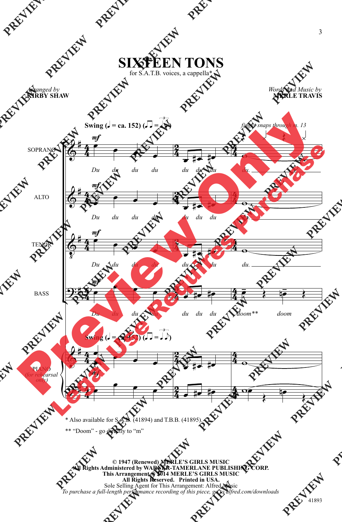

for S.A.T.B. voices, a cappella\*

*Arranged by* **KIRBY SHAW** *Words and Music by* **MERLE TRAVIS**



\*\* "Doom" - go directly to "m"

**© 1947 (Renewed) MERLE'S GIRLS MUSIC All Rights Administered by WARNER-TAMERLANE PUBLISHING CORP. This Arrangement © 2014 MERLE'S GIRLS MUSIC All Rights Reserved. Printed in USA.** Sole Selling Agent for This Arrangement: Alfred Music *To purchase a full-length performance recording of this piece, go to alfred.com/downloads*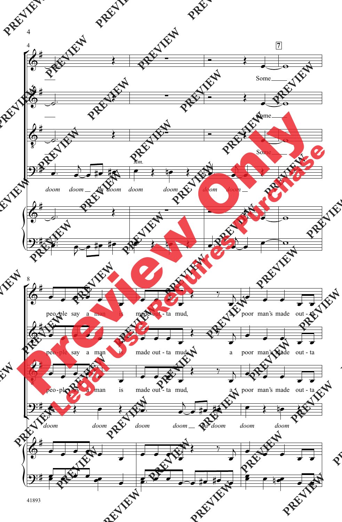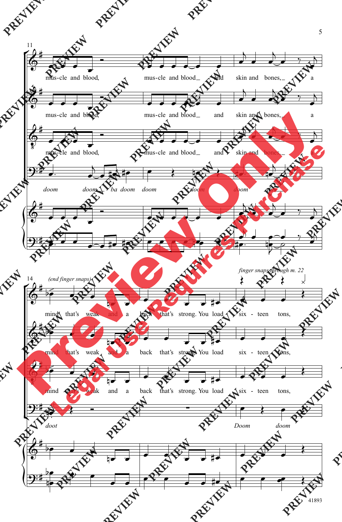

5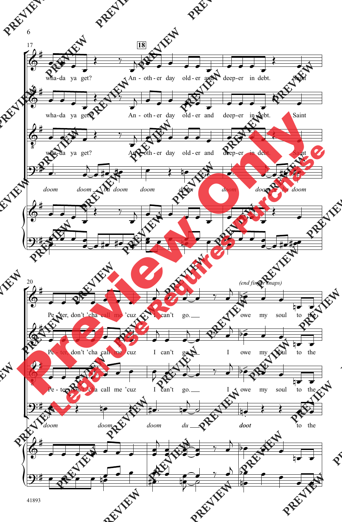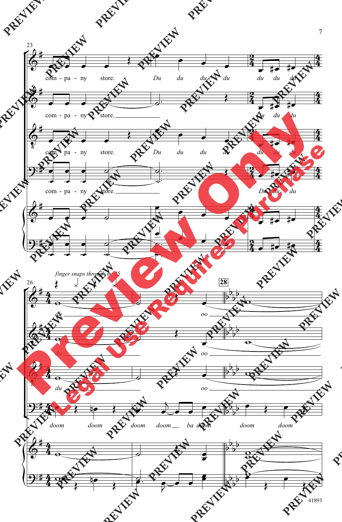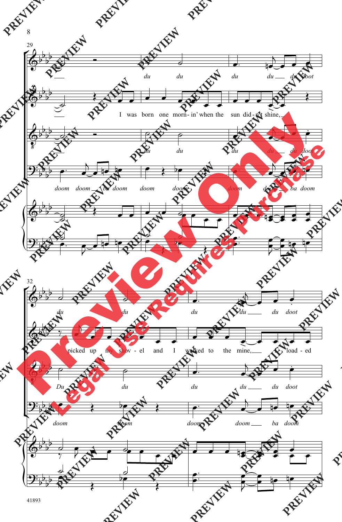

<sup>41893</sup>

8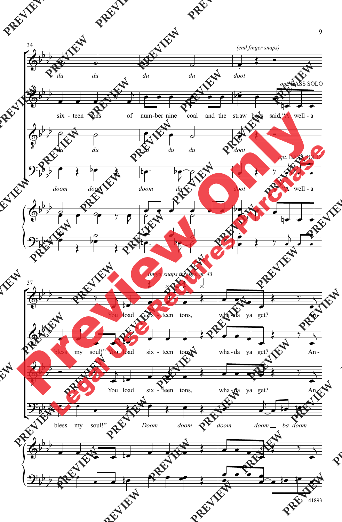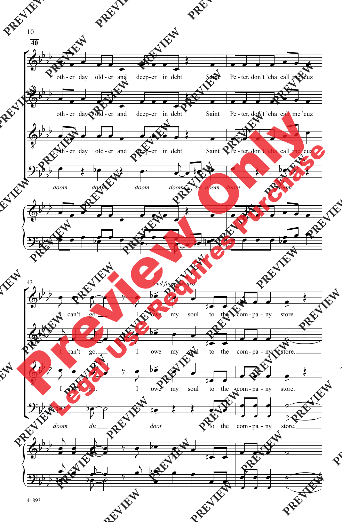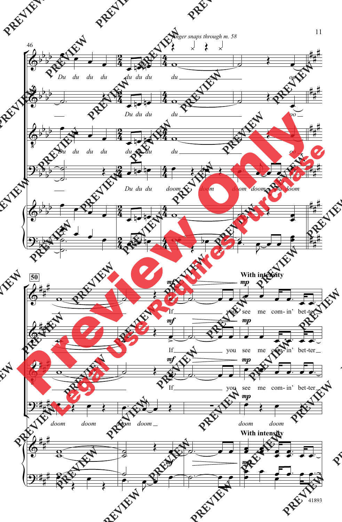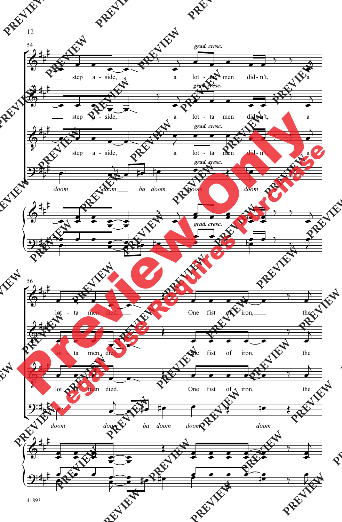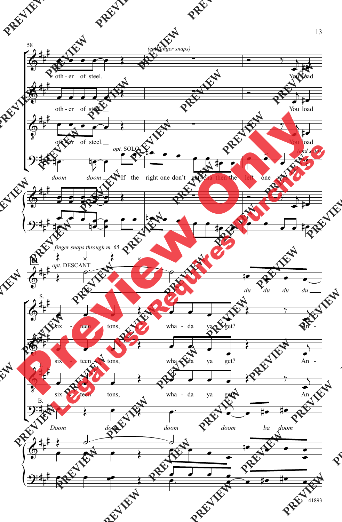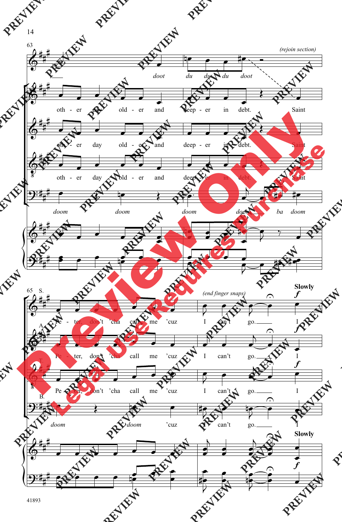

41893